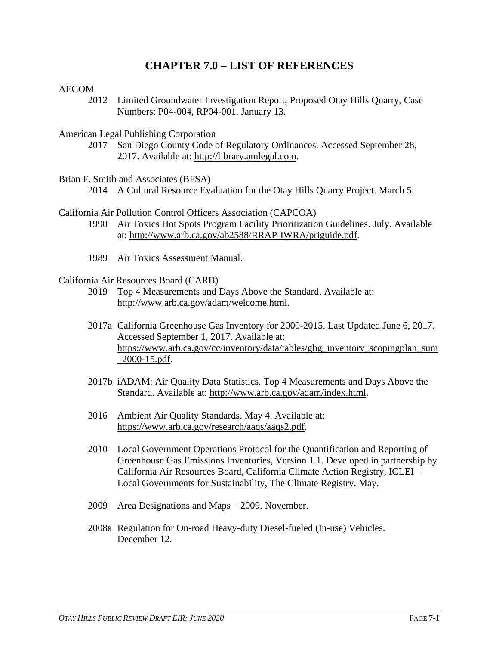# **CHAPTER 7.0 – LIST OF REFERENCES**

### AECOM

- 2012 Limited Groundwater Investigation Report, Proposed Otay Hills Quarry, Case Numbers: P04-004, RP04-001. January 13.
- American Legal Publishing Corporation
	- 2017 San Diego County Code of Regulatory Ordinances. Accessed September 28, 2017. Available at: [http://library.amlegal.com.](http://library.amlegal.com/)
- Brian F. Smith and Associates (BFSA)
	- 2014 A Cultural Resource Evaluation for the Otay Hills Quarry Project. March 5.

California Air Pollution Control Officers Association (CAPCOA)

- 1990 Air Toxics Hot Spots Program Facility Prioritization Guidelines. July. Available at: [http://www.arb.ca.gov/ab2588/RRAP-IWRA/priguide.pdf.](http://www.arb.ca.gov/ab2588/RRAP-IWRA/priguide.pdf)
- 1989 Air Toxics Assessment Manual.

#### California Air Resources Board (CARB)

- 2019 Top 4 Measurements and Days Above the Standard. Available at: [http://www.arb.ca.gov/adam/welcome.html.](http://www.arb.ca.gov/adam/welcome.html)
- 2017a California Greenhouse Gas Inventory for 2000-2015. Last Updated June 6, 2017. Accessed September 1, 2017. Available at: [https://www.arb.ca.gov/cc/inventory/data/tables/ghg\\_inventory\\_scopingplan\\_sum](https://www.arb.ca.gov/cc/inventory/data/tables/ghg_inventory_scopingplan_sum_2000-15.pdf) [\\_2000-15.pdf.](https://www.arb.ca.gov/cc/inventory/data/tables/ghg_inventory_scopingplan_sum_2000-15.pdf)
- 2017b iADAM: Air Quality Data Statistics. Top 4 Measurements and Days Above the Standard. Available at: [http://www.arb.ca.gov/adam/index.html.](http://www.arb.ca.gov/adam/index.html)
- 2016 Ambient Air Quality Standards. May 4. Available at: [https://www.arb.ca.gov/research/aaqs/aaqs2.pdf.](https://www.arb.ca.gov/research/aaqs/aaqs2.pdf)
- 2010 Local Government Operations Protocol for the Quantification and Reporting of Greenhouse Gas Emissions Inventories, Version 1.1. Developed in partnership by California Air Resources Board, California Climate Action Registry, ICLEI – Local Governments for Sustainability, The Climate Registry. May.
- 2009 Area Designations and Maps 2009. November.
- 2008a Regulation for On-road Heavy-duty Diesel-fueled (In-use) Vehicles. December 12.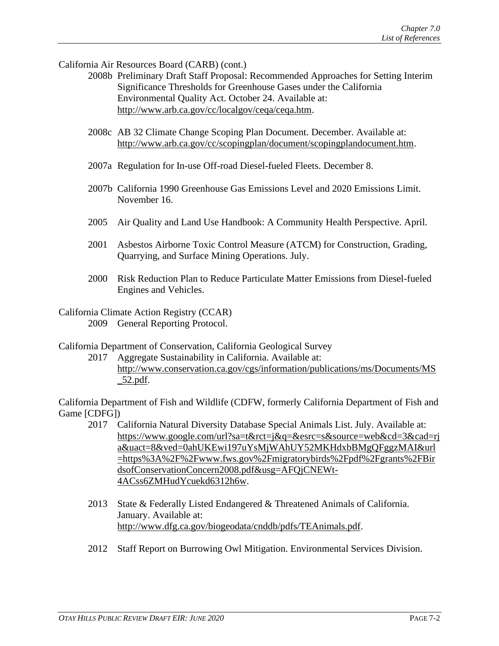California Air Resources Board (CARB) (cont.)

- 2008b Preliminary Draft Staff Proposal: Recommended Approaches for Setting Interim Significance Thresholds for Greenhouse Gases under the California Environmental Quality Act. October 24. Available at: [http://www.arb.ca.gov/cc/localgov/ceqa/ceqa.htm.](http://www.arb.ca.gov/cc/localgov/ceqa/ceqa.htm)
- 2008c AB 32 Climate Change Scoping Plan Document. December. Available at: [http://www.arb.ca.gov/cc/scopingplan/document/scopingplandocument.htm.](http://www.arb.ca.gov/cc/scopingplan/document/scopingplandocument.htm)
- 2007a Regulation for In-use Off-road Diesel-fueled Fleets. December 8.
- 2007b California 1990 Greenhouse Gas Emissions Level and 2020 Emissions Limit. November 16.
- 2005 Air Quality and Land Use Handbook: A Community Health Perspective. April.
- 2001 Asbestos Airborne Toxic Control Measure (ATCM) for Construction, Grading, Quarrying, and Surface Mining Operations. July.
- 2000 Risk Reduction Plan to Reduce Particulate Matter Emissions from Diesel-fueled Engines and Vehicles.
- California Climate Action Registry (CCAR) 2009 General Reporting Protocol.

California Department of Conservation, California Geological Survey

2017 Aggregate Sustainability in California. Available at: [http://www.conservation.ca.gov/cgs/information/publications/ms/Documents/MS](http://www.conservation.ca.gov/cgs/information/publications/ms/Documents/MS_52.pdf) [\\_52.pdf.](http://www.conservation.ca.gov/cgs/information/publications/ms/Documents/MS_52.pdf)

California Department of Fish and Wildlife (CDFW, formerly California Department of Fish and Game [CDFG])

- 2017 California Natural Diversity Database Special Animals List. July. Available at: [https://www.google.com/url?sa=t&rct=j&q=&esrc=s&source=web&cd=3&cad=rj](https://www.google.com/url?sa=t&rct=j&q=&esrc=s&source=web&cd=3&cad=rja&uact=8&ved=0ahUKEwi197uYsMjWAhUY52MKHdxbBMgQFggzMAI&url=https%3A%2F%2Fwww.fws.gov%2Fmigratorybirds%2Fpdf%2Fgrants%2FBirdsofConservationConcern2008.pdf&usg=AFQjCNEWt-4ACss6ZMHudYcuekd6312h6w) [a&uact=8&ved=0ahUKEwi197uYsMjWAhUY52MKHdxbBMgQFggzMAI&url](https://www.google.com/url?sa=t&rct=j&q=&esrc=s&source=web&cd=3&cad=rja&uact=8&ved=0ahUKEwi197uYsMjWAhUY52MKHdxbBMgQFggzMAI&url=https%3A%2F%2Fwww.fws.gov%2Fmigratorybirds%2Fpdf%2Fgrants%2FBirdsofConservationConcern2008.pdf&usg=AFQjCNEWt-4ACss6ZMHudYcuekd6312h6w) [=https%3A%2F%2Fwww.fws.gov%2Fmigratorybirds%2Fpdf%2Fgrants%2FBir](https://www.google.com/url?sa=t&rct=j&q=&esrc=s&source=web&cd=3&cad=rja&uact=8&ved=0ahUKEwi197uYsMjWAhUY52MKHdxbBMgQFggzMAI&url=https%3A%2F%2Fwww.fws.gov%2Fmigratorybirds%2Fpdf%2Fgrants%2FBirdsofConservationConcern2008.pdf&usg=AFQjCNEWt-4ACss6ZMHudYcuekd6312h6w) [dsofConservationConcern2008.pdf&usg=AFQjCNEWt-](https://www.google.com/url?sa=t&rct=j&q=&esrc=s&source=web&cd=3&cad=rja&uact=8&ved=0ahUKEwi197uYsMjWAhUY52MKHdxbBMgQFggzMAI&url=https%3A%2F%2Fwww.fws.gov%2Fmigratorybirds%2Fpdf%2Fgrants%2FBirdsofConservationConcern2008.pdf&usg=AFQjCNEWt-4ACss6ZMHudYcuekd6312h6w)[4ACss6ZMHudYcuekd6312h6w.](https://www.google.com/url?sa=t&rct=j&q=&esrc=s&source=web&cd=3&cad=rja&uact=8&ved=0ahUKEwi197uYsMjWAhUY52MKHdxbBMgQFggzMAI&url=https%3A%2F%2Fwww.fws.gov%2Fmigratorybirds%2Fpdf%2Fgrants%2FBirdsofConservationConcern2008.pdf&usg=AFQjCNEWt-4ACss6ZMHudYcuekd6312h6w)
- 2013 State & Federally Listed Endangered & Threatened Animals of California. January. Available at: [http://www.dfg.ca.gov/biogeodata/cnddb/pdfs/TEAnimals.pdf.](http://www.dfg.ca.gov/biogeodata/cnddb/pdfs/TEAnimals.pdf)
- 2012 Staff Report on Burrowing Owl Mitigation. Environmental Services Division.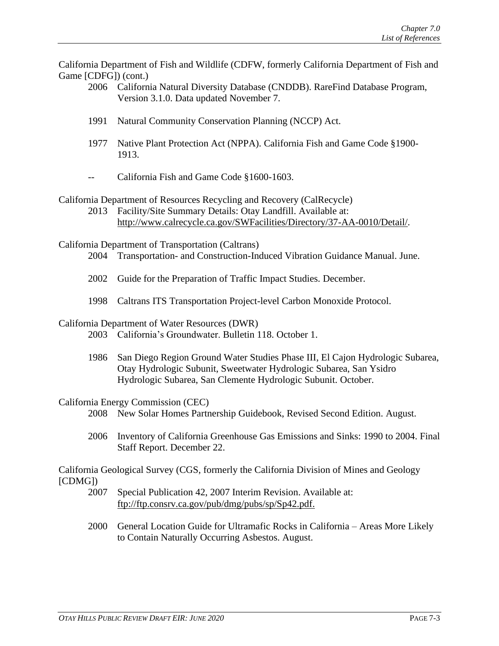California Department of Fish and Wildlife (CDFW, formerly California Department of Fish and Game [CDFG]) (cont.)

- 2006 California Natural Diversity Database (CNDDB). RareFind Database Program, Version 3.1.0. Data updated November 7.
- 1991 Natural Community Conservation Planning (NCCP) Act.
- 1977 Native Plant Protection Act (NPPA). California Fish and Game Code §1900- 1913.
- -- California Fish and Game Code §1600-1603.

# California Department of Resources Recycling and Recovery (CalRecycle)

2013 Facility/Site Summary Details: Otay Landfill. Available at: [http://www.calrecycle.ca.gov/SWFacilities/Directory/37-AA-0010/Detail/.](http://www.calrecycle.ca.gov/SWFacilities/Directory/37-AA-0010/Detail/)

California Department of Transportation (Caltrans)

- 2004 Transportation- and Construction-Induced Vibration Guidance Manual. June.
- 2002 Guide for the Preparation of Traffic Impact Studies. December.
- 1998 Caltrans ITS Transportation Project-level Carbon Monoxide Protocol.

#### California Department of Water Resources (DWR)

- 2003 California's Groundwater. Bulletin 118. October 1.
- 1986 San Diego Region Ground Water Studies Phase III, El Cajon Hydrologic Subarea, Otay Hydrologic Subunit, Sweetwater Hydrologic Subarea, San Ysidro Hydrologic Subarea, San Clemente Hydrologic Subunit. October.

### California Energy Commission (CEC)

- 2008 New Solar Homes Partnership Guidebook, Revised Second Edition. August.
- 2006 Inventory of California Greenhouse Gas Emissions and Sinks: 1990 to 2004. Final Staff Report. December 22.

California Geological Survey (CGS, formerly the California Division of Mines and Geology [CDMG])

- 2007 Special Publication 42, 2007 Interim Revision. Available at: [ftp://ftp.consrv.ca.gov/pub/dmg/pubs/sp/Sp42.pdf.](ftp://ftp.consrv.ca.gov/pub/dmg/pubs/sp/Sp42.pdf)
- 2000 General Location Guide for Ultramafic Rocks in California Areas More Likely to Contain Naturally Occurring Asbestos. August.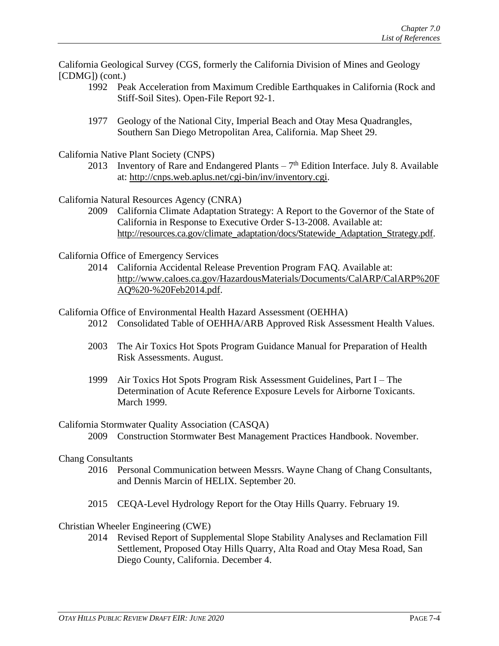California Geological Survey (CGS, formerly the California Division of Mines and Geology [CDMG]) (cont.)

- 1992 Peak Acceleration from Maximum Credible Earthquakes in California (Rock and Stiff-Soil Sites). Open-File Report 92-1.
- 1977 Geology of the National City, Imperial Beach and Otay Mesa Quadrangles, Southern San Diego Metropolitan Area, California. Map Sheet 29.

California Native Plant Society (CNPS)

2013 Inventory of Rare and Endangered Plants  $-7<sup>th</sup>$  Edition Interface. July 8. Available at: [http://cnps.web.aplus.net/cgi-bin/inv/inventory.cgi.](http://cnps.web.aplus.net/cgi-bin/inv/inventory.cgi)

California Natural Resources Agency (CNRA)

2009 California Climate Adaptation Strategy: A Report to the Governor of the State of California in Response to Executive Order S-13-2008. Available at: [http://resources.ca.gov/climate\\_adaptation/docs/Statewide\\_Adaptation\\_Strategy.pdf.](http://resources.ca.gov/climate_adaptation/docs/Statewide_Adaptation_Strategy.pdf)

California Office of Emergency Services

2014 California Accidental Release Prevention Program FAQ. Available at: [http://www.caloes.ca.gov/HazardousMaterials/Documents/CalARP/CalARP%20F](http://www.caloes.ca.gov/HazardousMaterials/Documents/CalARP/CalARP%20FAQ%20-%20Feb2014.pdf) [AQ%20-%20Feb2014.pdf.](http://www.caloes.ca.gov/HazardousMaterials/Documents/CalARP/CalARP%20FAQ%20-%20Feb2014.pdf)

### California Office of Environmental Health Hazard Assessment (OEHHA)

- 2012 Consolidated Table of OEHHA/ARB Approved Risk Assessment Health Values.
- 2003 The Air Toxics Hot Spots Program Guidance Manual for Preparation of Health Risk Assessments. August.
- 1999 Air Toxics Hot Spots Program Risk Assessment Guidelines, Part I The Determination of Acute Reference Exposure Levels for Airborne Toxicants. March 1999.

### California Stormwater Quality Association (CASQA)

2009 Construction Stormwater Best Management Practices Handbook. November.

#### Chang Consultants

- 2016 Personal Communication between Messrs. Wayne Chang of Chang Consultants, and Dennis Marcin of HELIX. September 20.
- 2015 CEQA-Level Hydrology Report for the Otay Hills Quarry. February 19.

### Christian Wheeler Engineering (CWE)

2014 Revised Report of Supplemental Slope Stability Analyses and Reclamation Fill Settlement, Proposed Otay Hills Quarry, Alta Road and Otay Mesa Road, San Diego County, California. December 4.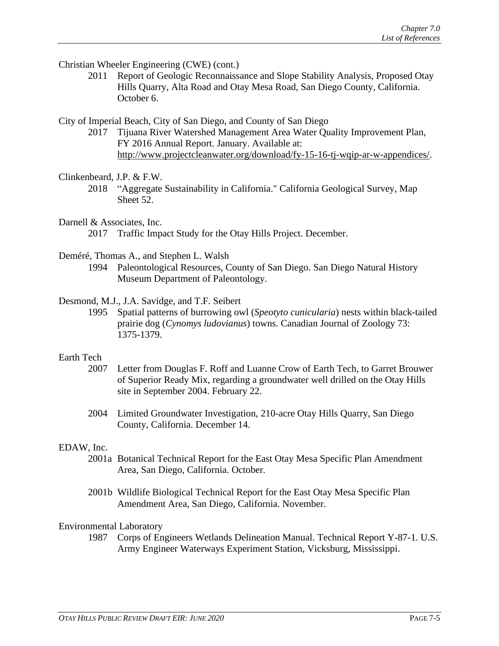Christian Wheeler Engineering (CWE) (cont.)

2011 Report of Geologic Reconnaissance and Slope Stability Analysis, Proposed Otay Hills Quarry, Alta Road and Otay Mesa Road, San Diego County, California. October 6.

City of Imperial Beach, City of San Diego, and County of San Diego

2017 Tijuana River Watershed Management Area Water Quality Improvement Plan, FY 2016 Annual Report. January. Available at: [http://www.projectcleanwater.org/download/fy-15-16-tj-wqip-ar-w-appendices/.](http://www.projectcleanwater.org/download/fy-15-16-tj-wqip-ar-w-appendices/)

### Clinkenbeard, J.P. & F.W.

2018 "Aggregate Sustainability in California." California Geological Survey, Map Sheet 52.

# Darnell & Associates, Inc.

2017 Traffic Impact Study for the Otay Hills Project. December.

### Deméré, Thomas A., and Stephen L. Walsh

1994 Paleontological Resources, County of San Diego. San Diego Natural History Museum Department of Paleontology.

# Desmond, M.J., J.A. Savidge, and T.F. Seibert

1995 Spatial patterns of burrowing owl (*Speotyto cunicularia*) nests within black-tailed prairie dog (*Cynomys ludovianus*) towns. Canadian Journal of Zoology 73: 1375-1379.

### Earth Tech

- 2007 Letter from Douglas F. Roff and Luanne Crow of Earth Tech, to Garret Brouwer of Superior Ready Mix, regarding a groundwater well drilled on the Otay Hills site in September 2004. February 22.
- 2004 Limited Groundwater Investigation, 210-acre Otay Hills Quarry, San Diego County, California. December 14.

### EDAW, Inc.

- 2001a Botanical Technical Report for the East Otay Mesa Specific Plan Amendment Area, San Diego, California. October.
- 2001b Wildlife Biological Technical Report for the East Otay Mesa Specific Plan Amendment Area, San Diego, California. November.

### Environmental Laboratory

1987 Corps of Engineers Wetlands Delineation Manual. Technical Report Y-87-1. U.S. Army Engineer Waterways Experiment Station, Vicksburg, Mississippi.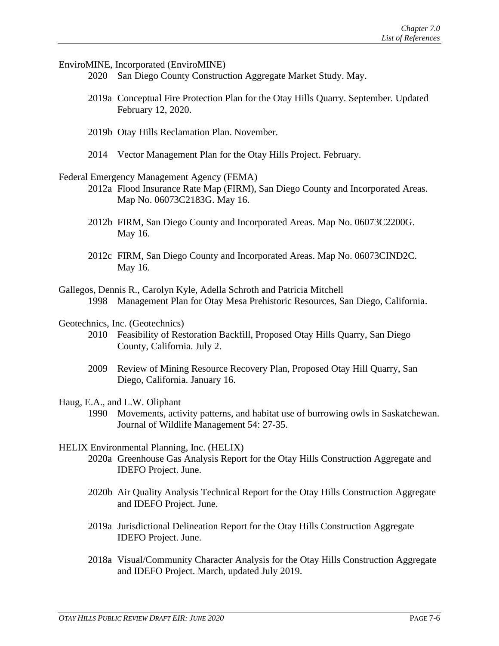EnviroMINE, Incorporated (EnviroMINE)

- 2020 San Diego County Construction Aggregate Market Study. May.
- 2019a Conceptual Fire Protection Plan for the Otay Hills Quarry. September. Updated February 12, 2020.
- 2019b Otay Hills Reclamation Plan. November.
- 2014 Vector Management Plan for the Otay Hills Project. February.
- Federal Emergency Management Agency (FEMA)
	- 2012a Flood Insurance Rate Map (FIRM), San Diego County and Incorporated Areas. Map No. 06073C2183G. May 16.
	- 2012b FIRM, San Diego County and Incorporated Areas. Map No. 06073C2200G. May 16.
	- 2012c FIRM, San Diego County and Incorporated Areas. Map No. 06073CIND2C. May 16.
- Gallegos, Dennis R., Carolyn Kyle, Adella Schroth and Patricia Mitchell 1998 Management Plan for Otay Mesa Prehistoric Resources, San Diego, California.
- Geotechnics, Inc. (Geotechnics)
	- 2010 Feasibility of Restoration Backfill, Proposed Otay Hills Quarry, San Diego County, California. July 2.
	- 2009 Review of Mining Resource Recovery Plan, Proposed Otay Hill Quarry, San Diego, California. January 16.
- Haug, E.A., and L.W. Oliphant
	- 1990 Movements, activity patterns, and habitat use of burrowing owls in Saskatchewan. Journal of Wildlife Management 54: 27-35.
- HELIX Environmental Planning, Inc. (HELIX)
	- 2020a Greenhouse Gas Analysis Report for the Otay Hills Construction Aggregate and IDEFO Project. June.
	- 2020b Air Quality Analysis Technical Report for the Otay Hills Construction Aggregate and IDEFO Project. June.
	- 2019a Jurisdictional Delineation Report for the Otay Hills Construction Aggregate IDEFO Project. June.
	- 2018a Visual/Community Character Analysis for the Otay Hills Construction Aggregate and IDEFO Project. March, updated July 2019.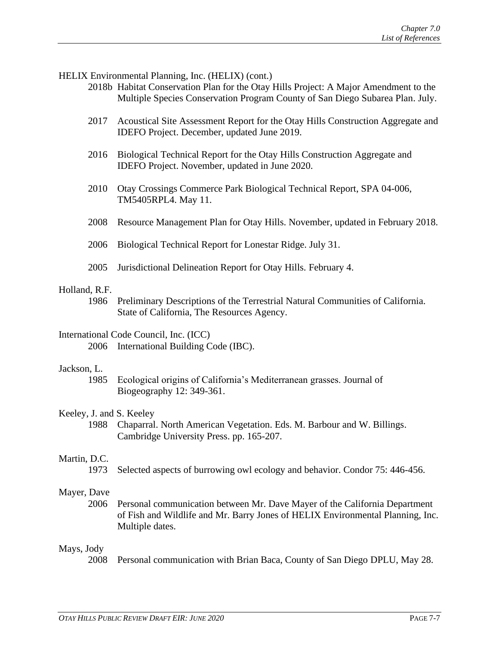HELIX Environmental Planning, Inc. (HELIX) (cont.)

- 2018b Habitat Conservation Plan for the Otay Hills Project: A Major Amendment to the Multiple Species Conservation Program County of San Diego Subarea Plan. July.
- 2017 Acoustical Site Assessment Report for the Otay Hills Construction Aggregate and IDEFO Project. December, updated June 2019.
- 2016 Biological Technical Report for the Otay Hills Construction Aggregate and IDEFO Project. November, updated in June 2020.
- 2010 Otay Crossings Commerce Park Biological Technical Report, SPA 04-006, TM5405RPL4. May 11.
- 2008 Resource Management Plan for Otay Hills. November, updated in February 2018.
- 2006 Biological Technical Report for Lonestar Ridge. July 31.
- 2005 Jurisdictional Delineation Report for Otay Hills. February 4.

### Holland, R.F.

1986 Preliminary Descriptions of the Terrestrial Natural Communities of California. State of California, The Resources Agency.

# International Code Council, Inc. (ICC)

2006 International Building Code (IBC).

### Jackson, L.

1985 Ecological origins of California's Mediterranean grasses. Journal of Biogeography 12: 349-361.

### Keeley, J. and S. Keeley

1988 Chaparral. North American Vegetation. Eds. M. Barbour and W. Billings. Cambridge University Press. pp. 165-207.

### Martin, D.C.

1973 Selected aspects of burrowing owl ecology and behavior. Condor 75: 446-456.

### Mayer, Dave

2006 Personal communication between Mr. Dave Mayer of the California Department of Fish and Wildlife and Mr. Barry Jones of HELIX Environmental Planning, Inc. Multiple dates.

### Mays, Jody

2008 Personal communication with Brian Baca, County of San Diego DPLU, May 28.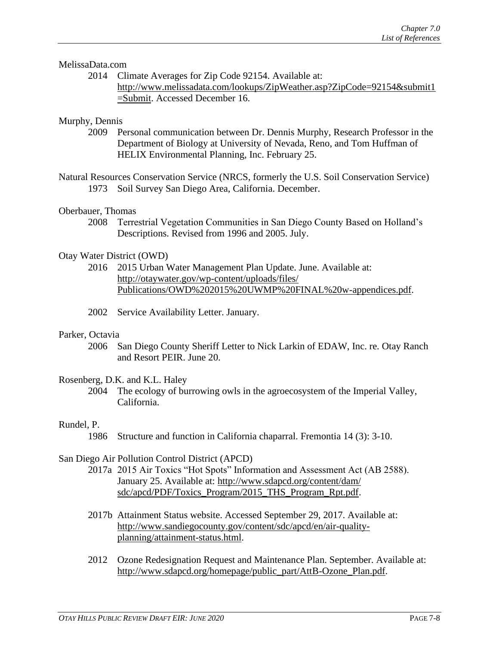### MelissaData.com

2014 Climate Averages for Zip Code 92154. Available at: [http://www.melissadata.com/lookups/ZipWeather.asp?ZipCode=92154&submit1](http://www.melissadata.com/lookups/ZipWeather.asp?ZipCode=92154&submit1=Submit) [=Submit.](http://www.melissadata.com/lookups/ZipWeather.asp?ZipCode=92154&submit1=Submit) Accessed December 16.

#### Murphy, Dennis

2009 Personal communication between Dr. Dennis Murphy, Research Professor in the Department of Biology at University of Nevada, Reno, and Tom Huffman of HELIX Environmental Planning, Inc. February 25.

Natural Resources Conservation Service (NRCS, formerly the U.S. Soil Conservation Service) 1973 Soil Survey San Diego Area, California. December.

### Oberbauer, Thomas

2008 Terrestrial Vegetation Communities in San Diego County Based on Holland's Descriptions. Revised from 1996 and 2005. July.

#### Otay Water District (OWD)

- 2016 2015 Urban Water Management Plan Update. June. Available at: [http://otaywater.gov/wp-content/uploads/files/](http://otaywater.gov/wp-content/uploads/files/Publications/OWD%202015%20UWMP%20FINAL%20w-appendices.pdf) [Publications/OWD%202015%20UWMP%20FINAL%20w-appendices.pdf.](http://otaywater.gov/wp-content/uploads/files/Publications/OWD%202015%20UWMP%20FINAL%20w-appendices.pdf)
- 2002 Service Availability Letter. January.

#### Parker, Octavia

2006 San Diego County Sheriff Letter to Nick Larkin of EDAW, Inc. re. Otay Ranch and Resort PEIR. June 20.

#### Rosenberg, D.K. and K.L. Haley

2004 The ecology of burrowing owls in the agroecosystem of the Imperial Valley, California.

#### Rundel, P.

1986 Structure and function in California chaparral. Fremontia 14 (3): 3-10.

### San Diego Air Pollution Control District (APCD)

- 2017a 2015 Air Toxics "Hot Spots" Information and Assessment Act (AB 2588). January 25. Available at: [http://www.sdapcd.org/content/dam/](http://www.sdapcd.org/content/dam/sdc/apcd/PDF/Toxics_Program/2015_THS_Program_Rpt.pdf) [sdc/apcd/PDF/Toxics\\_Program/2015\\_THS\\_Program\\_Rpt.pdf.](http://www.sdapcd.org/content/dam/sdc/apcd/PDF/Toxics_Program/2015_THS_Program_Rpt.pdf)
	- 2017b Attainment Status website. Accessed September 29, 2017. Available at: [http://www.sandiegocounty.gov/content/sdc/apcd/en/air-quality](http://www.sandiegocounty.gov/content/sdc/apcd/en/air-quality-planning/attainment-status.html)[planning/attainment-status.html.](http://www.sandiegocounty.gov/content/sdc/apcd/en/air-quality-planning/attainment-status.html)
	- 2012 Ozone Redesignation Request and Maintenance Plan. September. Available at: [http://www.sdapcd.org/homepage/public\\_part/AttB-Ozone\\_Plan.pdf.](http://www.sdapcd.org/homepage/public_part/AttB-Ozone_Plan.pdf)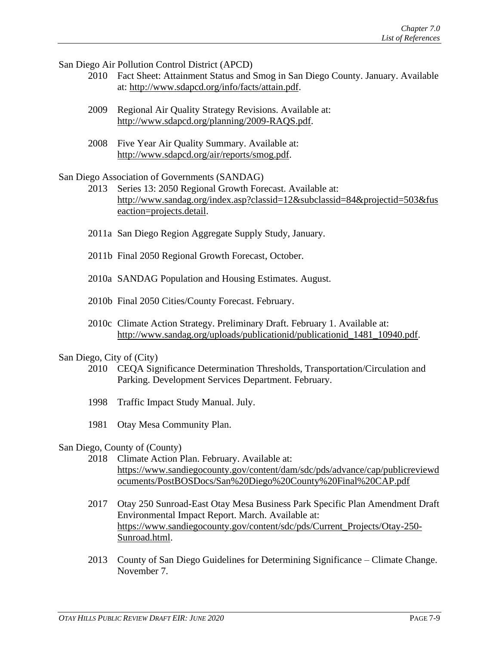San Diego Air Pollution Control District (APCD)

- 2010 Fact Sheet: Attainment Status and Smog in San Diego County. January. Available at: [http://www.sdapcd.org/info/facts/attain.pdf.](http://www.sdapcd.org/info/facts/attain.pdf)
- 2009 Regional Air Quality Strategy Revisions. Available at: [http://www.sdapcd.org/planning/2009-RAQS.pdf.](http://www.sdapcd.org/planning/2009-RAQS.pdf)
- 2008 Five Year Air Quality Summary. Available at: [http://www.sdapcd.org/air/reports/smog.pdf.](http://www.sdapcd.org/air/reports/smog.pdf)

San Diego Association of Governments (SANDAG)

- 2013 Series 13: 2050 Regional Growth Forecast. Available at: [http://www.sandag.org/index.asp?classid=12&subclassid=84&projectid=503&fus](http://www.sandag.org/index.asp?classid=12&subclassid=84&projectid=503&fuseaction=projects.detail) [eaction=projects.detail.](http://www.sandag.org/index.asp?classid=12&subclassid=84&projectid=503&fuseaction=projects.detail)
- 2011a San Diego Region Aggregate Supply Study, January.
- 2011b Final 2050 Regional Growth Forecast, October.
- 2010a SANDAG Population and Housing Estimates. August.
- 2010b Final 2050 Cities/County Forecast. February.
- 2010c Climate Action Strategy. Preliminary Draft. February 1. Available at: [http://www.sandag.org/uploads/publicationid/publicationid\\_1481\\_10940.pdf.](http://www.sandag.org/uploads/publicationid/publicationid_1481_10940.pdf)

#### San Diego, City of (City)

- 2010 CEQA Significance Determination Thresholds, Transportation/Circulation and Parking. Development Services Department. February.
- 1998 Traffic Impact Study Manual. July.
- 1981 Otay Mesa Community Plan.

#### San Diego, County of (County)

- 2018 Climate Action Plan. February. Available at: [https://www.sandiegocounty.gov/content/dam/sdc/pds/advance/cap/publicreviewd](https://www.sandiegocounty.gov/content/dam/sdc/pds/advance/cap/publicreviewdocuments/PostBOSDocs/San%20Diego%20County%20Final%20CAP.pdf) [ocuments/PostBOSDocs/San%20Diego%20County%20Final%20CAP.pdf](https://www.sandiegocounty.gov/content/dam/sdc/pds/advance/cap/publicreviewdocuments/PostBOSDocs/San%20Diego%20County%20Final%20CAP.pdf)
- 2017 Otay 250 Sunroad-East Otay Mesa Business Park Specific Plan Amendment Draft Environmental Impact Report. March. Available at: [https://www.sandiegocounty.gov/content/sdc/pds/Current\\_Projects/Otay-250-](https://www.sandiegocounty.gov/content/sdc/pds/Current_Projects/Otay-250-Sunroad.html) [Sunroad.html.](https://www.sandiegocounty.gov/content/sdc/pds/Current_Projects/Otay-250-Sunroad.html)
- 2013 County of San Diego Guidelines for Determining Significance Climate Change. November 7.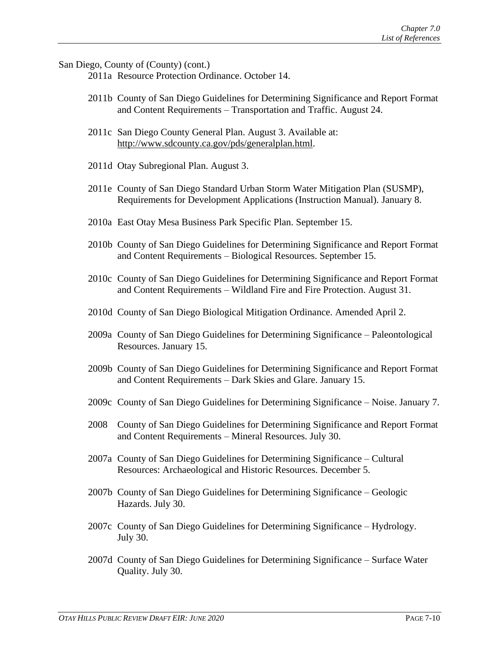San Diego, County of (County) (cont.)

2011a Resource Protection Ordinance. October 14.

- 2011b County of San Diego Guidelines for Determining Significance and Report Format and Content Requirements – Transportation and Traffic. August 24.
- 2011c San Diego County General Plan. August 3. Available at: [http://www.sdcounty.ca.gov/pds/generalplan.html.](http://www.sdcounty.ca.gov/pds/generalplan.html)
- 2011d Otay Subregional Plan. August 3.
- 2011e County of San Diego Standard Urban Storm Water Mitigation Plan (SUSMP), Requirements for Development Applications (Instruction Manual). January 8.
- 2010a East Otay Mesa Business Park Specific Plan. September 15.
- 2010b County of San Diego Guidelines for Determining Significance and Report Format and Content Requirements – Biological Resources. September 15.
- 2010c County of San Diego Guidelines for Determining Significance and Report Format and Content Requirements – Wildland Fire and Fire Protection. August 31.
- 2010d County of San Diego Biological Mitigation Ordinance. Amended April 2.
- 2009a County of San Diego Guidelines for Determining Significance Paleontological Resources. January 15.
- 2009b County of San Diego Guidelines for Determining Significance and Report Format and Content Requirements – Dark Skies and Glare. January 15.
- 2009c County of San Diego Guidelines for Determining Significance Noise. January 7.
- 2008 County of San Diego Guidelines for Determining Significance and Report Format and Content Requirements – Mineral Resources. July 30.
- 2007a County of San Diego Guidelines for Determining Significance Cultural Resources: Archaeological and Historic Resources. December 5.
- 2007b County of San Diego Guidelines for Determining Significance Geologic Hazards. July 30.
- 2007c County of San Diego Guidelines for Determining Significance Hydrology. July 30.
- 2007d County of San Diego Guidelines for Determining Significance Surface Water Quality. July 30.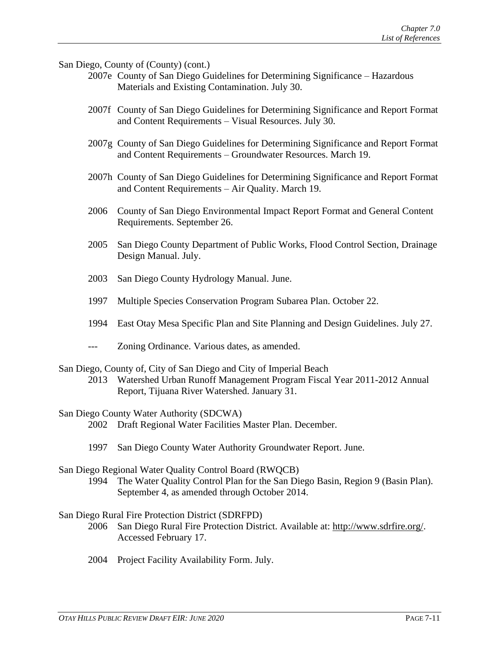San Diego, County of (County) (cont.)

- 2007e County of San Diego Guidelines for Determining Significance Hazardous Materials and Existing Contamination. July 30.
- 2007f County of San Diego Guidelines for Determining Significance and Report Format and Content Requirements – Visual Resources. July 30.
- 2007g County of San Diego Guidelines for Determining Significance and Report Format and Content Requirements – Groundwater Resources. March 19.
- 2007h County of San Diego Guidelines for Determining Significance and Report Format and Content Requirements – Air Quality. March 19.
- 2006 County of San Diego Environmental Impact Report Format and General Content Requirements. September 26.
- 2005 San Diego County Department of Public Works, Flood Control Section, Drainage Design Manual. July.
- 2003 San Diego County Hydrology Manual. June.
- 1997 Multiple Species Conservation Program Subarea Plan. October 22.
- 1994 East Otay Mesa Specific Plan and Site Planning and Design Guidelines. July 27.
- --- Zoning Ordinance. Various dates, as amended.
- San Diego, County of, City of San Diego and City of Imperial Beach
	- 2013 Watershed Urban Runoff Management Program Fiscal Year 2011-2012 Annual Report, Tijuana River Watershed. January 31.
- San Diego County Water Authority (SDCWA)
	- 2002 Draft Regional Water Facilities Master Plan. December.
	- 1997 San Diego County Water Authority Groundwater Report. June.

#### San Diego Regional Water Quality Control Board (RWQCB)

1994 The Water Quality Control Plan for the San Diego Basin, Region 9 (Basin Plan). September 4, as amended through October 2014.

#### San Diego Rural Fire Protection District (SDRFPD)

- 2006 San Diego Rural Fire Protection District. Available at: [http://www.sdrfire.org/.](http://www.sdrfire.org/) Accessed February 17.
- 2004 Project Facility Availability Form. July.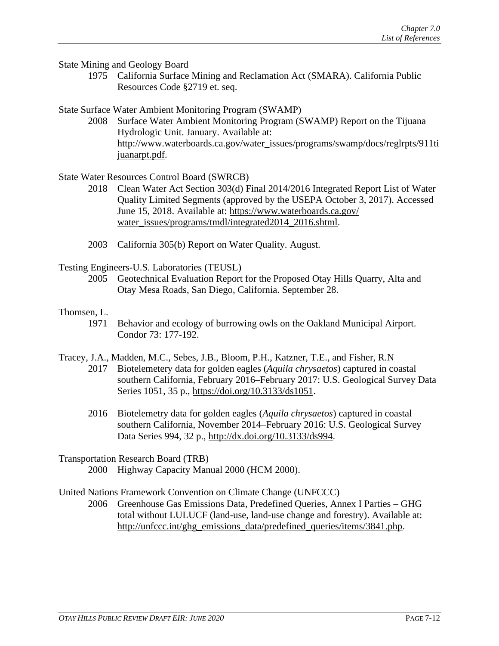State Mining and Geology Board

1975 California Surface Mining and Reclamation Act (SMARA). California Public Resources Code §2719 et. seq.

State Surface Water Ambient Monitoring Program (SWAMP)

2008 Surface Water Ambient Monitoring Program (SWAMP) Report on the Tijuana Hydrologic Unit. January. Available at: [http://www.waterboards.ca.gov/water\\_issues/programs/swamp/docs/reglrpts/911ti](http://www.waterboards.ca.gov/water_issues/programs/swamp/docs/reglrpts/911tijuanarpt.pdf) [juanarpt.pdf.](http://www.waterboards.ca.gov/water_issues/programs/swamp/docs/reglrpts/911tijuanarpt.pdf)

### State Water Resources Control Board (SWRCB)

- 2018 Clean Water Act Section 303(d) Final 2014/2016 Integrated Report List of Water Quality Limited Segments (approved by the USEPA October 3, 2017). Accessed June 15, 2018. Available at: [https://www.waterboards.ca.gov/](https://www.waterboards.ca.gov/water_issues/programs/tmdl/integrated2014_2016.shtml) [water\\_issues/programs/tmdl/integrated2014\\_2016.shtml.](https://www.waterboards.ca.gov/water_issues/programs/tmdl/integrated2014_2016.shtml)
- 2003 California 305(b) Report on Water Quality. August.

Testing Engineers-U.S. Laboratories (TEUSL)

2005 Geotechnical Evaluation Report for the Proposed Otay Hills Quarry, Alta and Otay Mesa Roads, San Diego, California. September 28.

### Thomsen, L.

1971 Behavior and ecology of burrowing owls on the Oakland Municipal Airport. Condor 73: 177-192.

Tracey, J.A., Madden, M.C., Sebes, J.B., Bloom, P.H., Katzner, T.E., and Fisher, R.N

- 2017 Biotelemetery data for golden eagles (*Aquila chrysaetos*) captured in coastal southern California, February 2016–February 2017: U.S. Geological Survey Data Series 1051, 35 p., [https://doi.org/10.3133/ds1051.](https://doi.org/10.3133/ds1051)
- 2016 Biotelemetry data for golden eagles (*Aquila chrysaetos*) captured in coastal southern California, November 2014–February 2016: U.S. Geological Survey Data Series 994, 32 p., [http://dx.doi.org/10.3133/ds994.](http://dx.doi.org/10.3133/ds994)

Transportation Research Board (TRB)

2000 Highway Capacity Manual 2000 (HCM 2000).

United Nations Framework Convention on Climate Change (UNFCCC)

2006 Greenhouse Gas Emissions Data, Predefined Queries, Annex I Parties – GHG total without LULUCF (land-use, land-use change and forestry). Available at: [http://unfccc.int/ghg\\_emissions\\_data/predefined\\_queries/items/3841.php.](http://unfccc.int/ghg_emissions_data/predefined_queries/items/3841.php)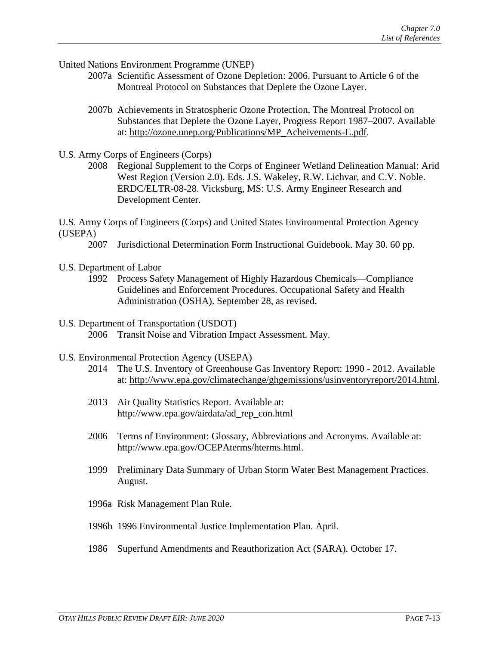United Nations Environment Programme (UNEP)

- 2007a Scientific Assessment of Ozone Depletion: 2006. Pursuant to Article 6 of the Montreal Protocol on Substances that Deplete the Ozone Layer.
- 2007b Achievements in Stratospheric Ozone Protection, The Montreal Protocol on Substances that Deplete the Ozone Layer, Progress Report 1987–2007. Available at: [http://ozone.unep.org/Publications/MP\\_Acheivements-E.pdf.](http://ozone.unep.org/Publications/MP_Acheivements-E.pdf)
- U.S. Army Corps of Engineers (Corps)
	- 2008 Regional Supplement to the Corps of Engineer Wetland Delineation Manual: Arid West Region (Version 2.0). Eds. J.S. Wakeley, R.W. Lichvar, and C.V. Noble. ERDC/ELTR-08-28. Vicksburg, MS: U.S. Army Engineer Research and Development Center.

U.S. Army Corps of Engineers (Corps) and United States Environmental Protection Agency (USEPA)

- 2007 Jurisdictional Determination Form Instructional Guidebook. May 30. 60 pp.
- U.S. Department of Labor
	- 1992 Process Safety Management of Highly Hazardous Chemicals—Compliance Guidelines and Enforcement Procedures. Occupational Safety and Health Administration (OSHA). September 28, as revised.
- U.S. Department of Transportation (USDOT) 2006 Transit Noise and Vibration Impact Assessment. May.
- U.S. Environmental Protection Agency (USEPA)
	- 2014 The U.S. Inventory of Greenhouse Gas Inventory Report: 1990 2012. Available at: [http://www.epa.gov/climatechange/ghgemissions/usinventoryreport/2014.html.](http://www.epa.gov/climatechange/ghgemissions/usinventoryreport/2014.html)
	- 2013 Air Quality Statistics Report. Available at: [http://www.epa.gov/airdata/ad\\_rep\\_con.html](http://www.epa.gov/airdata/ad_rep_con.html)
	- 2006 Terms of Environment: Glossary, Abbreviations and Acronyms. Available at: [http://www.epa.gov/OCEPAterms/hterms.html.](http://www.epa.gov/OCEPAterms/hterms.html)
	- 1999 Preliminary Data Summary of Urban Storm Water Best Management Practices. August.
	- 1996a Risk Management Plan Rule.
	- 1996b 1996 Environmental Justice Implementation Plan. April.
	- 1986 Superfund Amendments and Reauthorization Act (SARA). October 17.